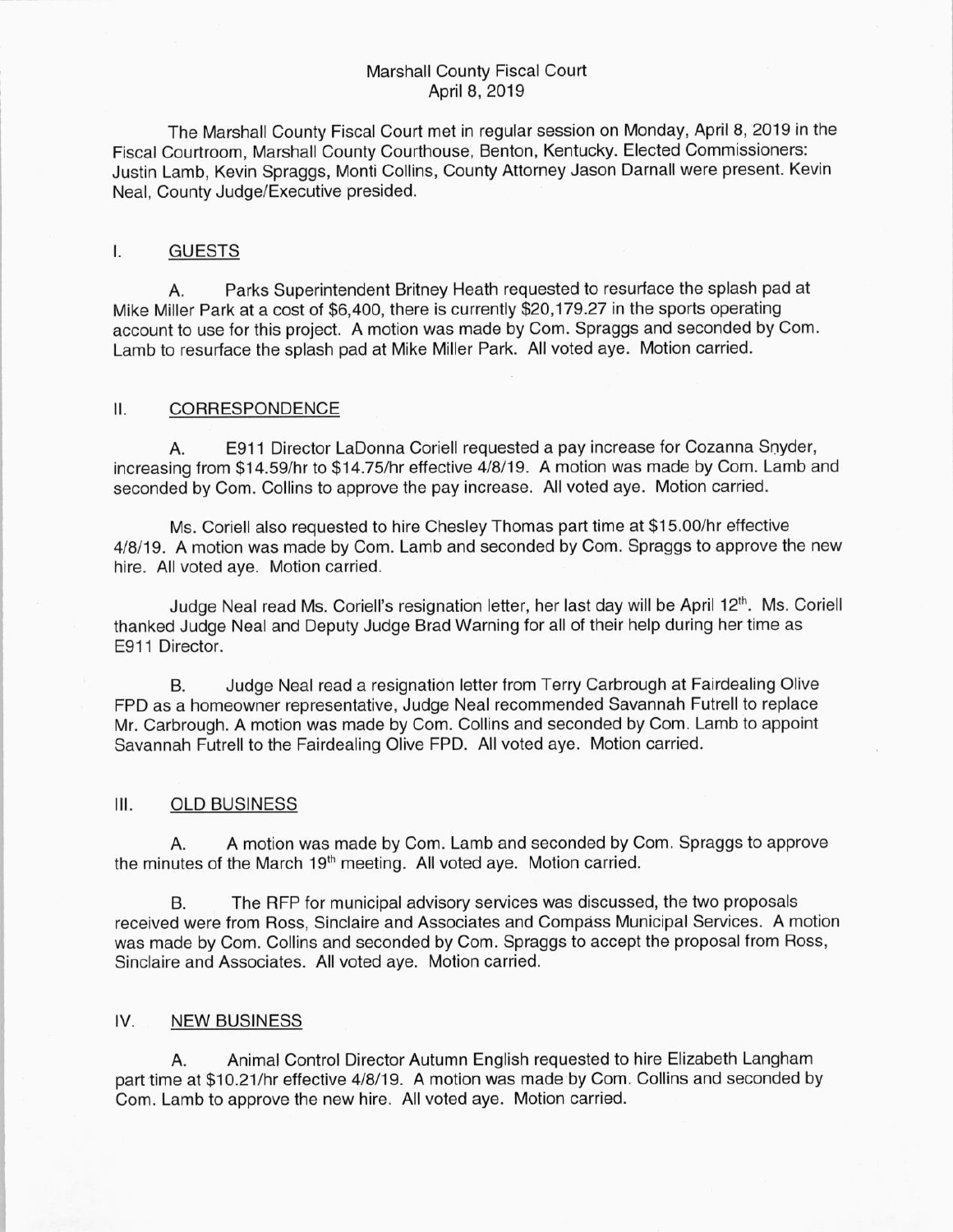## Marshall County Fiscal Court April 8, 2019

The Marshall County Fiscal Court met in regular session on Monday, April 8, 2019 in the Fiscal Courtroom, Marshall County Courthouse, Benton, Kentucky. Elected Commissioners: Justin lamb, Kevin Spraggs, Monti Collins, County Attorney Jason Darnall were present. Kevin Neal, County Judge/Executive presided.

#### I. GUESTS

A. Parks Superintendent Britney Heath requested to resurface the splash pad at Mike Miller Park at a cost of \$6, 400, there is currently \$20, 179. 27 in the sports operating account to use for this project. A motion was made by Com. Spraggs and seconded by Com. Lamb to resurface the splash pad at Mike Miller Park. All voted aye. Motion carried.

#### $II.$ CORRESPONDENCE

A. E911 Director LaDonna Coriell requested a pay increase for Cozanna Snyder, increasing from \$14.59/hr to \$14.75/hr effective 4/8/19. A motion was made by Com. Lamb and seconded by Com. Collins to approve the pay increase. All voted aye. Motion carried.

Ms. Coriell also requested to hire Chesley Thomas part time at \$15.00/hr effective 4/8/19. A motion was made by Com. Lamb and seconded by Com. Spraggs to approve the new hire. All voted aye. Motion carried.

Judge Neal read Ms. Coriell's resignation letter, her last day will be April 12<sup>th</sup>. Ms. Coriell thanked Judge Neal and Deputy Judge Brad Warning for all of their help during her time as E911 Director.

B. Judge Neal read a resignation letter from Terry Carbrough at Fairdealing Olive FPD as a homeowner representative, Judge Neal recommended Savannah Futrell to replace Mr. Carbrough. A motion was made by Com. Collins and seconded by Com. Lamb to appoint Savannah Futrell to the Fairdealing Olive FPD. All voted aye. Motion carried.

# III. OLD BUSINESS

A. A motion was made by Com. lamb and seconded by Com. Spraggs to approve the minutes of the March 19<sup>th</sup> meeting. All voted aye. Motion carried.

B. The RFP for municipal advisory services was discussed, the two proposals received were from Ross, Sinclaire and Associates and Compass Municipal Services. A motion was made by Com. Collins and seconded by Com. Spraggs to accept the proposal from Ross, Sinclaire and Associates. All voted aye. Motion carried.

### IV. NEW BUSINESS

A. Animal Control Director Autumn English requested to hire Elizabeth Langham part time at \$10.21/hr effective 4/8/19. A motion was made by Com. Collins and seconded by Com. Lamb to approve the new hire. All voted aye. Motion carried.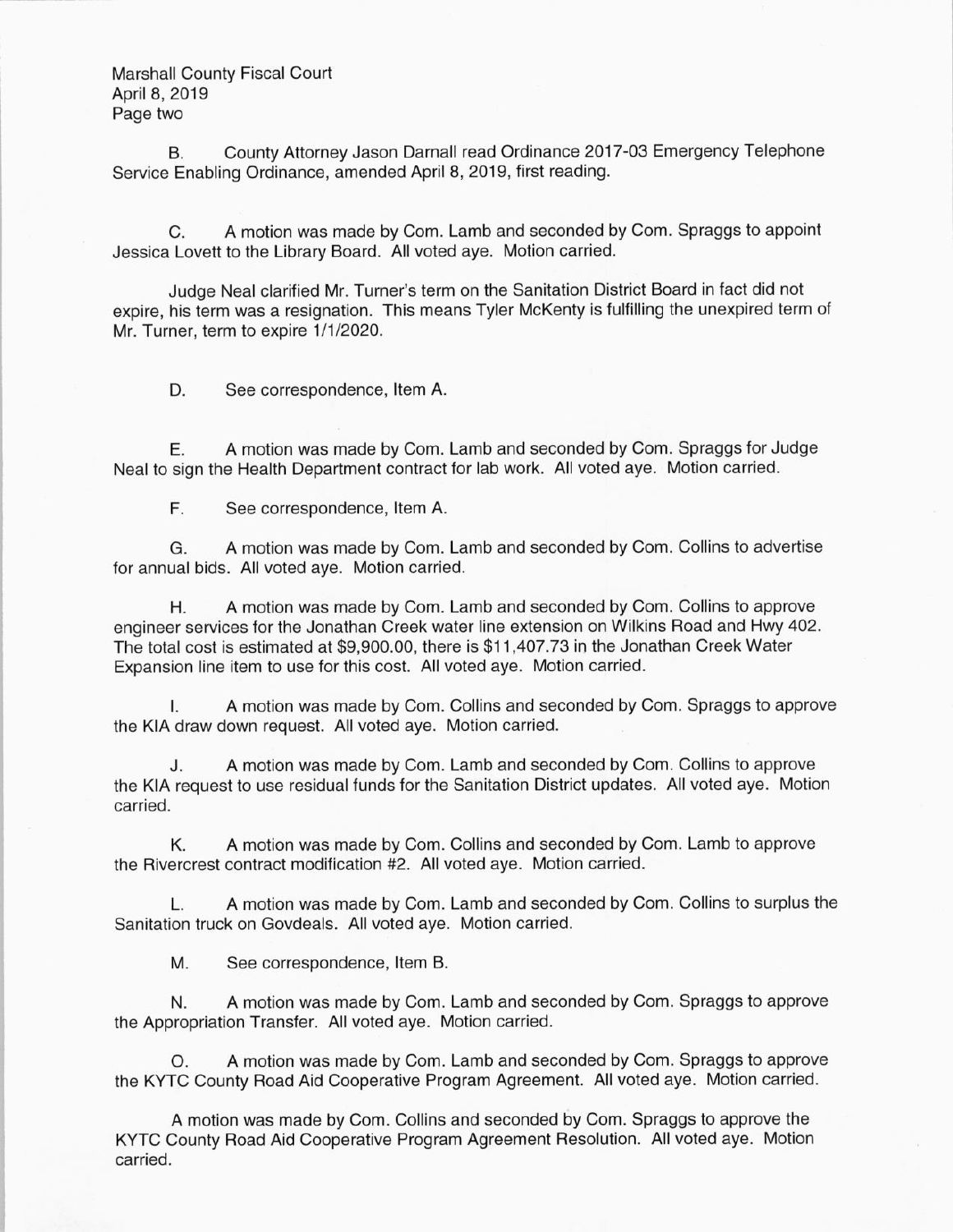Marshall County Fiscal Court April 8, 2019 Page two

B. County Attorney Jason Darnall read Ordinance 2017-03 Emergency Telephone Service Enabling Ordinance, amended April 8, 2019, first reading.

C. A motion was made by Com. Lamb and seconded by Com. Spraggs to appoint Jessica Lovett to the Library Board. All voted aye. Motion carried.

Judge Neal clarified Mr. Turner's term on the Sanitation District Board in fact did not expire, his term was a resignation. This means Tyler McKenty is fulfilling the unexpired term of Mr. Turner, term to expire 1/1/2020.

D. See correspondence, Item A.

E. A motion was made by Com. Lamb and seconded by Com. Spraggs for Judge Neal to sign the Health Department contract for lab work. All voted aye. Motion carried.

F. See correspondence, Item A.

G. A motion was made by Com. Lamb and seconded by Com. Collins to advertise for annual bids. All voted aye. Motion carried.

H. A motion was made by Com. Lamb and seconded by Com. Collins to approve engineer services for the Jonathan Creek water line extension on Wilkins Road and Hwy 402. The total cost is estimated at \$9,900.00, there is \$11,407.73 in the Jonathan Creek Water Expansion line item to use for this cost. All voted aye. Motion carried.

I. A motion was made by Com. Collins and seconded by Com. Spraggs to approve the KIA draw down request. All voted aye. Motion carried.

J. A motion was made by Com. Lamb and seconded by Com. Collins to approve the KIA request to use residual funds for the Sanitation District updates. All voted aye. Motion carried.

K. A motion was made by Com. Collins and seconded by Com. Lamb to approve the Rivercrest contract modification #2. All voted aye. Motion carried.

L. A motion was made by Com. Lamb and seconded by Com. Collins to surplus the Sanitation truck on Govdeals. All voted aye. Motion carried.

M. See correspondence, Item B.

N. A motion was made by Com. Lamb and seconded by Com. Spraggs to approve the Appropriation Transfer. All voted aye. Motion carried.

O. A motion was made by Com. Lamb and seconded by Com. Spraggs to approve the KYTC County Road Aid Cooperative Program Agreement. All voted aye. Motion carried.

A motion was made by Com. Collins and seconded by Com. Spraggs to approve the KYTC County Road Aid Cooperative Program Agreement Resolution. All voted aye. Motion carried.